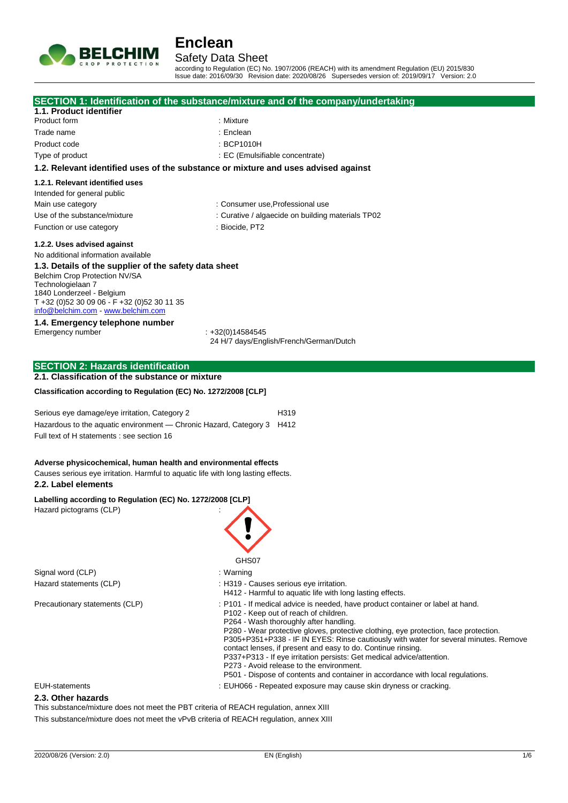

## Safety Data Sheet

according to Regulation (EC) No. 1907/2006 (REACH) with its amendment Regulation (EU) 2015/830 Issue date: 2016/09/30 Revision date: 2020/08/26 Supersedes version of: 2019/09/17 Version: 2.0

|                                                                                        | SECTION 1: Identification of the substance/mixture and of the company/undertaking                                                                                            |
|----------------------------------------------------------------------------------------|------------------------------------------------------------------------------------------------------------------------------------------------------------------------------|
| 1.1. Product identifier                                                                |                                                                                                                                                                              |
| Product form                                                                           | : Mixture                                                                                                                                                                    |
| Trade name                                                                             | : Enclean                                                                                                                                                                    |
|                                                                                        |                                                                                                                                                                              |
| Product code                                                                           | : BCP1010H                                                                                                                                                                   |
| Type of product                                                                        | : EC (Emulsifiable concentrate)                                                                                                                                              |
|                                                                                        | 1.2. Relevant identified uses of the substance or mixture and uses advised against                                                                                           |
| 1.2.1. Relevant identified uses                                                        |                                                                                                                                                                              |
| Intended for general public                                                            |                                                                                                                                                                              |
| Main use category                                                                      | : Consumer use, Professional use                                                                                                                                             |
| Use of the substance/mixture                                                           | : Curative / algaecide on building materials TP02                                                                                                                            |
|                                                                                        | : Biocide, PT2                                                                                                                                                               |
| Function or use category                                                               |                                                                                                                                                                              |
| 1.2.2. Uses advised against                                                            |                                                                                                                                                                              |
| No additional information available                                                    |                                                                                                                                                                              |
| 1.3. Details of the supplier of the safety data sheet                                  |                                                                                                                                                                              |
| Belchim Crop Protection NV/SA                                                          |                                                                                                                                                                              |
| Technologielaan 7                                                                      |                                                                                                                                                                              |
| 1840 Londerzeel - Belgium<br>T +32 (0)52 30 09 06 - F +32 (0)52 30 11 35               |                                                                                                                                                                              |
| info@belchim.com www.belchim.com                                                       |                                                                                                                                                                              |
| 1.4. Emergency telephone number                                                        |                                                                                                                                                                              |
| Emergency number                                                                       | $: +32(0)14584545$                                                                                                                                                           |
|                                                                                        | 24 H/7 days/English/French/German/Dutch                                                                                                                                      |
|                                                                                        |                                                                                                                                                                              |
| <b>SECTION 2: Hazards identification</b>                                               |                                                                                                                                                                              |
| 2.1. Classification of the substance or mixture                                        |                                                                                                                                                                              |
|                                                                                        |                                                                                                                                                                              |
| Classification according to Regulation (EC) No. 1272/2008 [CLP]                        |                                                                                                                                                                              |
|                                                                                        |                                                                                                                                                                              |
| Serious eye damage/eye irritation, Category 2                                          | H319                                                                                                                                                                         |
| Hazardous to the aquatic environment - Chronic Hazard, Category 3 H412                 |                                                                                                                                                                              |
| Full text of H statements : see section 16                                             |                                                                                                                                                                              |
|                                                                                        |                                                                                                                                                                              |
|                                                                                        |                                                                                                                                                                              |
| Adverse physicochemical, human health and environmental effects                        |                                                                                                                                                                              |
| Causes serious eye irritation. Harmful to aquatic life with long lasting effects.      |                                                                                                                                                                              |
| 2.2. Label elements                                                                    |                                                                                                                                                                              |
| Labelling according to Regulation (EC) No. 1272/2008 [CLP]                             |                                                                                                                                                                              |
| Hazard pictograms (CLP)                                                                |                                                                                                                                                                              |
|                                                                                        |                                                                                                                                                                              |
|                                                                                        |                                                                                                                                                                              |
|                                                                                        |                                                                                                                                                                              |
|                                                                                        |                                                                                                                                                                              |
|                                                                                        | GHS07                                                                                                                                                                        |
| Signal word (CLP)                                                                      | : Warning                                                                                                                                                                    |
| Hazard statements (CLP)                                                                | : H319 - Causes serious eye irritation.                                                                                                                                      |
|                                                                                        | H412 - Harmful to aquatic life with long lasting effects.                                                                                                                    |
| Precautionary statements (CLP)                                                         | : P101 - If medical advice is needed, have product container or label at hand.                                                                                               |
|                                                                                        | P102 - Keep out of reach of children.                                                                                                                                        |
|                                                                                        | P264 - Wash thoroughly after handling.                                                                                                                                       |
|                                                                                        | P280 - Wear protective gloves, protective clothing, eye protection, face protection.<br>P305+P351+P338 - IF IN EYES: Rinse cautiously with water for several minutes. Remove |
|                                                                                        | contact lenses, if present and easy to do. Continue rinsing.                                                                                                                 |
|                                                                                        | P337+P313 - If eye irritation persists: Get medical advice/attention.                                                                                                        |
|                                                                                        | P273 - Avoid release to the environment.                                                                                                                                     |
|                                                                                        | P501 - Dispose of contents and container in accordance with local regulations.                                                                                               |
| <b>EUH-statements</b>                                                                  | : EUH066 - Repeated exposure may cause skin dryness or cracking.                                                                                                             |
| 2.3. Other hazards                                                                     |                                                                                                                                                                              |
| This substance/mixture does not meet the PBT criteria of REACH regulation, annex XIII  |                                                                                                                                                                              |
| This substance/mixture does not meet the vPvB criteria of REACH regulation, annex XIII |                                                                                                                                                                              |
|                                                                                        |                                                                                                                                                                              |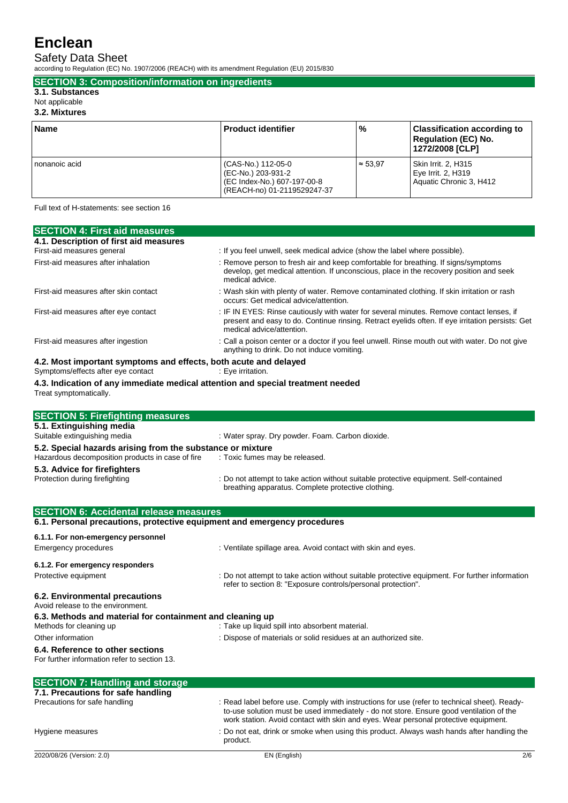Safety Data Sheet

according to Regulation (EC) No. 1907/2006 (REACH) with its amendment Regulation (EU) 2015/830

**SECTION 3: Composition/information on ingredients**

### **3.1. Substances**

Not applicable

## **3.2. Mixtures**

| <b>Name</b>   | <b>Product identifier</b>                                                                              | $\frac{9}{6}$   | Classification according to<br><b>Requiation (EC) No.</b><br>1272/2008 [CLP] |
|---------------|--------------------------------------------------------------------------------------------------------|-----------------|------------------------------------------------------------------------------|
| nonanoic acid | (CAS-No.) 112-05-0<br>(EC-No.) 203-931-2<br>(EC Index-No.) 607-197-00-8<br>(REACH-no) 01-2119529247-37 | $\approx 53.97$ | Skin Irrit. 2, H315<br>Eye Irrit. 2, H319<br>Aquatic Chronic 3, H412         |

Full text of H-statements: see section 16

| <b>SECTION 4: First aid measures</b>                             |                                                                                                                                                                                                                           |
|------------------------------------------------------------------|---------------------------------------------------------------------------------------------------------------------------------------------------------------------------------------------------------------------------|
| 4.1. Description of first aid measures                           |                                                                                                                                                                                                                           |
| First-aid measures general                                       | : If you feel unwell, seek medical advice (show the label where possible).                                                                                                                                                |
| First-aid measures after inhalation                              | : Remove person to fresh air and keep comfortable for breathing. If signs/symptoms<br>develop, get medical attention. If unconscious, place in the recovery position and seek<br>medical advice.                          |
| First-aid measures after skin contact                            | : Wash skin with plenty of water. Remove contaminated clothing. If skin irritation or rash<br>occurs: Get medical advice/attention.                                                                                       |
| First-aid measures after eye contact                             | : IF IN EYES: Rinse cautiously with water for several minutes. Remove contact lenses, if<br>present and easy to do. Continue rinsing. Retract eyelids often. If eye irritation persists: Get<br>medical advice/attention. |
| First-aid measures after ingestion                               | : Call a poison center or a doctor if you feel unwell. Rinse mouth out with water. Do not give<br>anything to drink. Do not induce vomiting.                                                                              |
| 4.2. Most important symptoms and effects, both acute and delayed |                                                                                                                                                                                                                           |
| Symptoms/effects after eye contact                               | : Eye irritation.                                                                                                                                                                                                         |

**4.3. Indication of any immediate medical attention and special treatment needed** Treat symptomatically.

| <b>SECTION 5: Firefighting measures</b>                                          |                                                                                                                                                                |
|----------------------------------------------------------------------------------|----------------------------------------------------------------------------------------------------------------------------------------------------------------|
| 5.1. Extinguishing media                                                         |                                                                                                                                                                |
| Suitable extinguishing media                                                     | : Water spray. Dry powder. Foam. Carbon dioxide.                                                                                                               |
| 5.2. Special hazards arising from the substance or mixture                       |                                                                                                                                                                |
| Hazardous decomposition products in case of fire                                 | : Toxic fumes may be released.                                                                                                                                 |
| 5.3. Advice for firefighters                                                     |                                                                                                                                                                |
| Protection during firefighting                                                   | : Do not attempt to take action without suitable protective equipment. Self-contained<br>breathing apparatus. Complete protective clothing.                    |
|                                                                                  |                                                                                                                                                                |
| <b>SECTION 6: Accidental release measures</b>                                    |                                                                                                                                                                |
| 6.1. Personal precautions, protective equipment and emergency procedures         |                                                                                                                                                                |
| 6.1.1. For non-emergency personnel                                               |                                                                                                                                                                |
| Emergency procedures                                                             | : Ventilate spillage area. Avoid contact with skin and eyes.                                                                                                   |
| 6.1.2. For emergency responders                                                  |                                                                                                                                                                |
| Protective equipment                                                             | : Do not attempt to take action without suitable protective equipment. For further information<br>refer to section 8: "Exposure controls/personal protection". |
| 6.2. Environmental precautions<br>Avoid release to the environment.              |                                                                                                                                                                |
| 6.3. Methods and material for containment and cleaning up                        |                                                                                                                                                                |
| Methods for cleaning up                                                          | : Take up liquid spill into absorbent material.                                                                                                                |
| Other information                                                                | : Dispose of materials or solid residues at an authorized site.                                                                                                |
| 6.4. Reference to other sections<br>For further information refer to section 13. |                                                                                                                                                                |

| <b>SECTION 7: Handling and storage</b> |                                                                                                                                                                                                                                                                                |
|----------------------------------------|--------------------------------------------------------------------------------------------------------------------------------------------------------------------------------------------------------------------------------------------------------------------------------|
| 7.1. Precautions for safe handling     |                                                                                                                                                                                                                                                                                |
| Precautions for safe handling          | : Read label before use. Comply with instructions for use (refer to technical sheet). Ready-<br>to-use solution must be used immediately - do not store. Ensure good ventilation of the<br>work station. Avoid contact with skin and eyes. Wear personal protective equipment. |
| Hygiene measures                       | : Do not eat, drink or smoke when using this product. Always wash hands after handling the<br>product.                                                                                                                                                                         |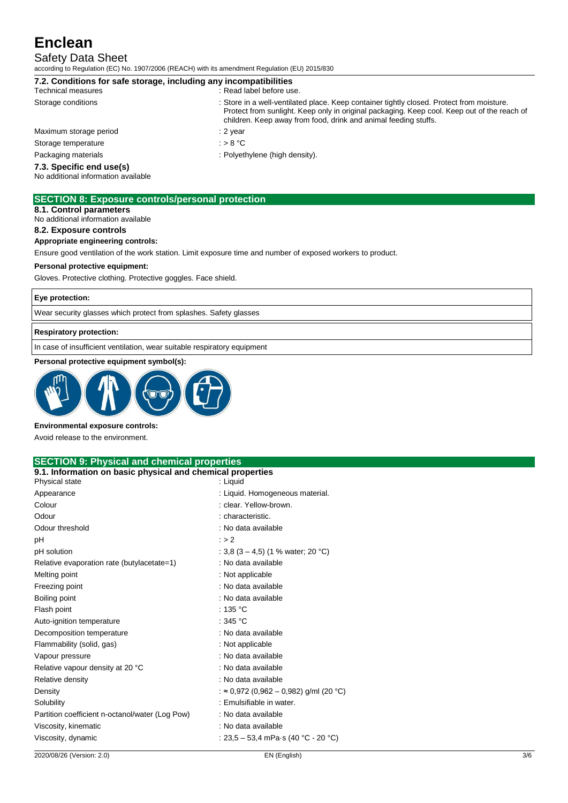# Safety Data Sheet

according to Regulation (EC) No. 1907/2006 (REACH) with its amendment Regulation (EU) 2015/830

| 7.2. Conditions for safe storage, including any incompatibilities |                                                                                                                                                                                                                                                             |
|-------------------------------------------------------------------|-------------------------------------------------------------------------------------------------------------------------------------------------------------------------------------------------------------------------------------------------------------|
| <b>Technical measures</b>                                         | : Read label before use.                                                                                                                                                                                                                                    |
| Storage conditions                                                | : Store in a well-ventilated place. Keep container tightly closed. Protect from moisture.<br>Protect from sunlight. Keep only in original packaging. Keep cool. Keep out of the reach of<br>children. Keep away from food, drink and animal feeding stuffs. |
| Maximum storage period                                            | : 2 year                                                                                                                                                                                                                                                    |
| Storage temperature                                               | : $> 8 °C$                                                                                                                                                                                                                                                  |
| Packaging materials                                               | : Polyethylene (high density).                                                                                                                                                                                                                              |
| 7.3. Specific end use(s)<br>No additional information available   |                                                                                                                                                                                                                                                             |
| <b>SECTION 8: Exposure controls/personal protection</b>           |                                                                                                                                                                                                                                                             |

**8.1. Control parameters**

No additional information available

## **8.2. Exposure controls**

**Appropriate engineering controls:**

Ensure good ventilation of the work station. Limit exposure time and number of exposed workers to product.

#### **Personal protective equipment:**

Gloves. Protective clothing. Protective goggles. Face shield.

### **Eye protection:**

Wear security glasses which protect from splashes. Safety glasses

### **Respiratory protection:**

In case of insufficient ventilation, wear suitable respiratory equipment

### **Personal protective equipment symbol(s):**



#### **Environmental exposure controls:**

Avoid release to the environment.

### **SECTION 9: Physical and chemical properties**

## **9.1. Information on basic physical and chemical properties**

| Physical state                                  | : Liquid                               |
|-------------------------------------------------|----------------------------------------|
| Appearance                                      | : Liquid. Homogeneous material.        |
| Colour                                          | : clear. Yellow-brown.                 |
| Odour                                           | : characteristic.                      |
| Odour threshold                                 | : No data available                    |
| рH                                              | : > 2                                  |
| pH solution                                     | : 3.8 $(3 - 4.5)$ (1 % water; 20 °C)   |
| Relative evaporation rate (butylacetate=1)      | : No data available                    |
| Melting point                                   | : Not applicable                       |
| Freezing point                                  | : No data available                    |
| Boiling point                                   | : No data available                    |
| Flash point                                     | : 135 °C                               |
| Auto-ignition temperature                       | : 345 °C                               |
| Decomposition temperature                       | : No data available                    |
| Flammability (solid, gas)                       | : Not applicable                       |
| Vapour pressure                                 | : No data available                    |
| Relative vapour density at 20 °C                | : No data available                    |
| Relative density                                | : No data available                    |
| Density                                         | : ≈ 0,972 (0,962 – 0,982) g/ml (20 °C) |
| Solubility                                      | : Emulsifiable in water.               |
| Partition coefficient n-octanol/water (Log Pow) | : No data available                    |
| Viscosity, kinematic                            | : No data available                    |
| Viscosity, dynamic                              | : 23,5 – 53,4 mPa·s (40 °C - 20 °C)    |
|                                                 |                                        |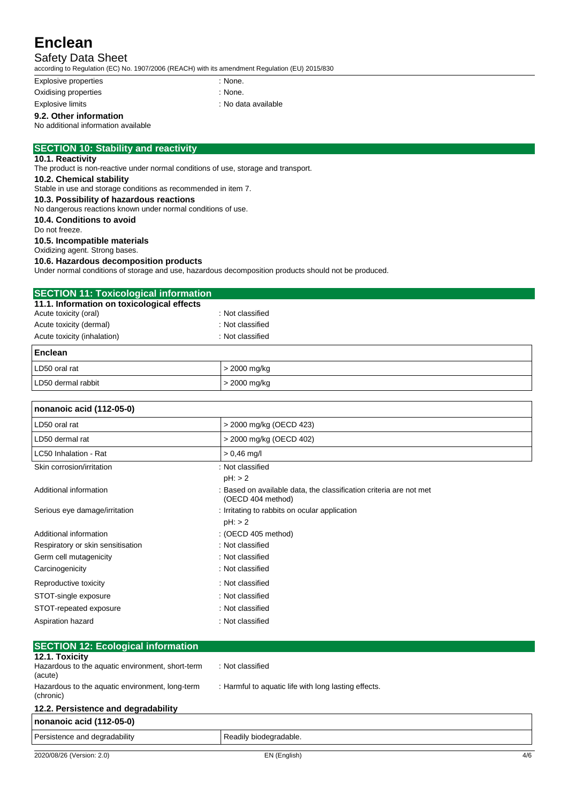# Safety Data Sheet

according to Regulation (EC) No. 1907/2006 (REACH) with its amendment Regulation (EU) 2015/830

Explosive properties in the state of the state of the state of the state of the state of the state of the state of the state of the state of the state of the state of the state of the state of the state of the state of the

Oxidising properties in the state of the state of the SN one.

Explosive limits **Explosive limits Explosive limits Explosive limits Explosive limits** 

**9.2. Other information**

No additional information available

## **SECTION 10: Stability and reactivity**

## **10.1. Reactivity**

The product is non-reactive under normal conditions of use, storage and transport.

## **10.2. Chemical stability**

Stable in use and storage conditions as recommended in item 7.

# **10.3. Possibility of hazardous reactions**

No dangerous reactions known under normal conditions of use. **10.4. Conditions to avoid**

Do not freeze.

#### **10.5. Incompatible materials**

Oxidizing agent. Strong bases.

## **10.6. Hazardous decomposition products**

Under normal conditions of storage and use, hazardous decomposition products should not be produced.

| <b>SECTION 11: Toxicological information</b> |                  |  |
|----------------------------------------------|------------------|--|
| 11.1. Information on toxicological effects   |                  |  |
| Acute toxicity (oral)                        | : Not classified |  |
| Acute toxicity (dermal)                      | : Not classified |  |
| Acute toxicity (inhalation)                  | : Not classified |  |
| Enclean                                      |                  |  |
| LD50 oral rat                                | > 2000 mg/kg     |  |
| LD50 dermal rabbit                           | > 2000 ma/ka     |  |

| nonanoic acid (112-05-0)          |                                                                                         |  |
|-----------------------------------|-----------------------------------------------------------------------------------------|--|
| LD50 oral rat                     | > 2000 mg/kg (OECD 423)                                                                 |  |
| LD50 dermal rat                   | > 2000 mg/kg (OECD 402)                                                                 |  |
| LC50 Inhalation - Rat             | $> 0.46$ mg/l                                                                           |  |
| Skin corrosion/irritation         | : Not classified                                                                        |  |
|                                   | $pH:$ > 2                                                                               |  |
| Additional information            | : Based on available data, the classification criteria are not met<br>(OECD 404 method) |  |
| Serious eye damage/irritation     | : Irritating to rabbits on ocular application                                           |  |
|                                   | $pH:$ > 2                                                                               |  |
| Additional information            | : (OECD 405 method)                                                                     |  |
| Respiratory or skin sensitisation | : Not classified                                                                        |  |
| Germ cell mutagenicity            | : Not classified                                                                        |  |
| Carcinogenicity                   | : Not classified                                                                        |  |
| Reproductive toxicity             | : Not classified                                                                        |  |
| STOT-single exposure              | : Not classified                                                                        |  |
| STOT-repeated exposure            | : Not classified                                                                        |  |
| Aspiration hazard                 | : Not classified                                                                        |  |

| <b>SECTION 12: Ecological information</b>                    |                                                      |
|--------------------------------------------------------------|------------------------------------------------------|
| 12.1. Toxicity                                               |                                                      |
| Hazardous to the aquatic environment, short-term<br>(acute)  | : Not classified                                     |
| Hazardous to the aquatic environment, long-term<br>(chronic) | : Harmful to aquatic life with long lasting effects. |
| 12.2. Persistence and degradability                          |                                                      |
| nonanoic acid (112-05-0)                                     |                                                      |
| Persistence and degradability                                | Readily biodegradable.                               |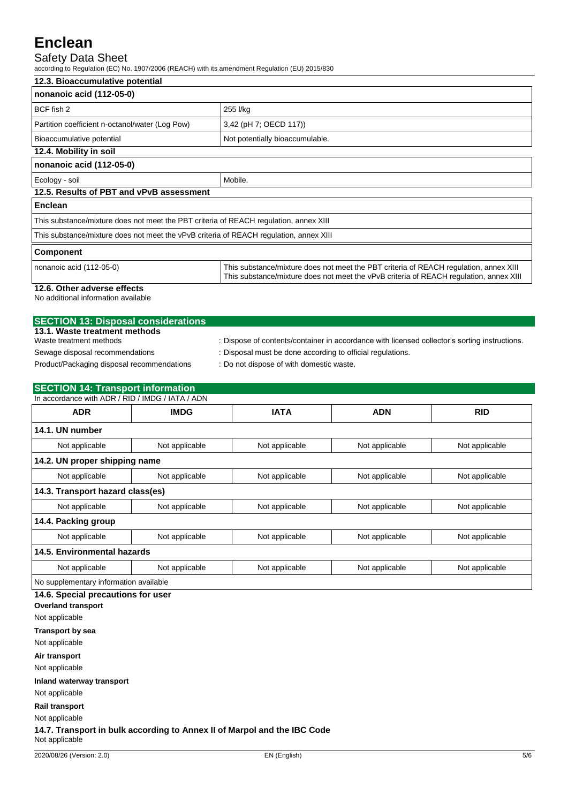## Safety Data Sheet

according to Regulation (EC) No. 1907/2006 (REACH) with its amendment Regulation (EU) 2015/830

| 12.3. Bioaccumulative potential                                                        |                                                                                                                                                                                 |  |
|----------------------------------------------------------------------------------------|---------------------------------------------------------------------------------------------------------------------------------------------------------------------------------|--|
| nonanoic acid (112-05-0)                                                               |                                                                                                                                                                                 |  |
| BCF fish 2                                                                             | 255 l/kg                                                                                                                                                                        |  |
| Partition coefficient n-octanol/water (Log Pow)                                        | 3,42 (pH 7; OECD 117))                                                                                                                                                          |  |
| Bioaccumulative potential                                                              | Not potentially bioaccumulable.                                                                                                                                                 |  |
| 12.4. Mobility in soil                                                                 |                                                                                                                                                                                 |  |
| nonanoic acid (112-05-0)                                                               |                                                                                                                                                                                 |  |
| Ecology - soil                                                                         | Mobile.                                                                                                                                                                         |  |
| 12.5. Results of PBT and vPvB assessment                                               |                                                                                                                                                                                 |  |
| <b>Enclean</b>                                                                         |                                                                                                                                                                                 |  |
| This substance/mixture does not meet the PBT criteria of REACH regulation, annex XIII  |                                                                                                                                                                                 |  |
| This substance/mixture does not meet the vPvB criteria of REACH regulation, annex XIII |                                                                                                                                                                                 |  |
| <b>Component</b>                                                                       |                                                                                                                                                                                 |  |
| nonanoic acid (112-05-0)                                                               | This substance/mixture does not meet the PBT criteria of REACH regulation, annex XIII<br>This substance/mixture does not meet the vPvB criteria of REACH regulation, annex XIII |  |
| 12.6. Other adverse effects                                                            |                                                                                                                                                                                 |  |

No additional information available

| <b>SECTION 13: Disposal considerations</b> |                                                                                               |
|--------------------------------------------|-----------------------------------------------------------------------------------------------|
| 13.1. Waste treatment methods              |                                                                                               |
| Waste treatment methods                    | : Dispose of contents/container in accordance with licensed collector's sorting instructions. |
| Sewage disposal recommendations            | : Disposal must be done according to official regulations.                                    |
| Product/Packaging disposal recommendations | : Do not dispose of with domestic waste.                                                      |

| <b>SECTION 14: Transport information</b><br>In accordance with ADR / RID / IMDG / IATA / ADN |                |                |                |                |
|----------------------------------------------------------------------------------------------|----------------|----------------|----------------|----------------|
| <b>ADR</b>                                                                                   | <b>IMDG</b>    | <b>IATA</b>    | <b>ADN</b>     | <b>RID</b>     |
| 14.1. UN number                                                                              |                |                |                |                |
| Not applicable                                                                               | Not applicable | Not applicable | Not applicable | Not applicable |
| 14.2. UN proper shipping name                                                                |                |                |                |                |
| Not applicable                                                                               | Not applicable | Not applicable | Not applicable | Not applicable |
| 14.3. Transport hazard class(es)                                                             |                |                |                |                |
| Not applicable                                                                               | Not applicable | Not applicable | Not applicable | Not applicable |
| 14.4. Packing group                                                                          |                |                |                |                |
| Not applicable                                                                               | Not applicable | Not applicable | Not applicable | Not applicable |
| 14.5. Environmental hazards                                                                  |                |                |                |                |
| Not applicable                                                                               | Not applicable | Not applicable | Not applicable | Not applicable |
| No supplementary information available                                                       |                |                |                |                |
| 14.6. Special precautions for user                                                           |                |                |                |                |

**Overland transport** Not applicable **Transport by sea** Not applicable

**Air transport**

Not applicable

**Inland waterway transport**

Not applicable

**Rail transport**

Not applicable

**14.7. Transport in bulk according to Annex II of Marpol and the IBC Code** Not applicable